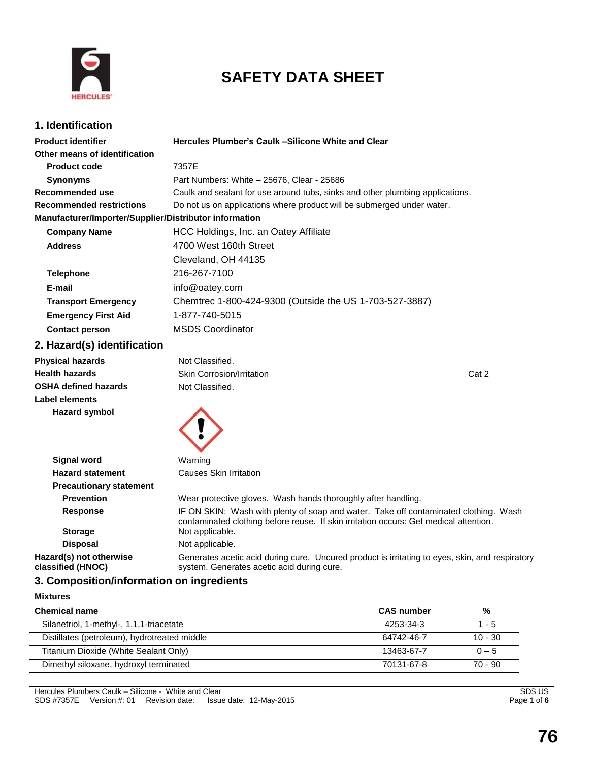

# **SAFETY DATA SHEET**

### **1. Identification**

| <b>Product identifier</b>                                                                 | Hercules Plumber's Caulk -Silicone White and Clear                                                                                                                            |       |
|-------------------------------------------------------------------------------------------|-------------------------------------------------------------------------------------------------------------------------------------------------------------------------------|-------|
| Other means of identification                                                             |                                                                                                                                                                               |       |
| <b>Product code</b>                                                                       | 7357E                                                                                                                                                                         |       |
| <b>Synonyms</b>                                                                           | Part Numbers: White - 25676, Clear - 25686                                                                                                                                    |       |
| Recommended use                                                                           | Caulk and sealant for use around tubs, sinks and other plumbing applications.                                                                                                 |       |
| <b>Recommended restrictions</b>                                                           | Do not us on applications where product will be submerged under water.                                                                                                        |       |
| Manufacturer/Importer/Supplier/Distributor information                                    |                                                                                                                                                                               |       |
| <b>Company Name</b>                                                                       | HCC Holdings, Inc. an Oatey Affiliate                                                                                                                                         |       |
| <b>Address</b>                                                                            | 4700 West 160th Street                                                                                                                                                        |       |
|                                                                                           | Cleveland, OH 44135                                                                                                                                                           |       |
| <b>Telephone</b>                                                                          | 216-267-7100                                                                                                                                                                  |       |
| E-mail                                                                                    | info@oatey.com                                                                                                                                                                |       |
| <b>Transport Emergency</b>                                                                | Chemtrec 1-800-424-9300 (Outside the US 1-703-527-3887)                                                                                                                       |       |
| <b>Emergency First Aid</b>                                                                | 1-877-740-5015                                                                                                                                                                |       |
| <b>Contact person</b>                                                                     | <b>MSDS Coordinator</b>                                                                                                                                                       |       |
| 2. Hazard(s) identification                                                               |                                                                                                                                                                               |       |
| <b>Physical hazards</b>                                                                   | Not Classified.                                                                                                                                                               |       |
| <b>Health hazards</b>                                                                     | Skin Corrosion/Irritation                                                                                                                                                     | Cat 2 |
| <b>OSHA defined hazards</b>                                                               | Not Classified.                                                                                                                                                               |       |
| Label elements                                                                            |                                                                                                                                                                               |       |
| <b>Hazard symbol</b>                                                                      |                                                                                                                                                                               |       |
| <b>Signal word</b>                                                                        | Warning                                                                                                                                                                       |       |
| <b>Hazard statement</b>                                                                   | <b>Causes Skin Irritation</b>                                                                                                                                                 |       |
| <b>Precautionary statement</b>                                                            |                                                                                                                                                                               |       |
| <b>Prevention</b>                                                                         | Wear protective gloves. Wash hands thoroughly after handling.                                                                                                                 |       |
| <b>Response</b>                                                                           | IF ON SKIN: Wash with plenty of soap and water. Take off contaminated clothing. Wash<br>contaminated clothing before reuse. If skin irritation occurs: Get medical attention. |       |
| <b>Storage</b>                                                                            | Not applicable.                                                                                                                                                               |       |
| <b>Disposal</b>                                                                           | Not applicable.                                                                                                                                                               |       |
| Hazard(s) not otherwise<br>classified (HNOC)<br>2. Campacitian/infarmation an ingradiante | Generates acetic acid during cure. Uncured product is irritating to eyes, skin, and respiratory<br>system. Generates acetic acid during cure.                                 |       |

### **3. Composition/information on ingredients**

| Mixtures |
|----------|
|          |

| <b>Chemical name</b>                         | <b>CAS</b> number | %         |
|----------------------------------------------|-------------------|-----------|
| Silanetriol, 1-methyl-, 1,1,1-triacetate     | 4253-34-3         | 1 - 5     |
| Distillates (petroleum), hydrotreated middle | 64742-46-7        | $10 - 30$ |
| Titanium Dioxide (White Sealant Only)        | 13463-67-7        | $0 - 5$   |
| Dimethyl siloxane, hydroxyl terminated       | 70131-67-8        | $70 - 90$ |
|                                              |                   |           |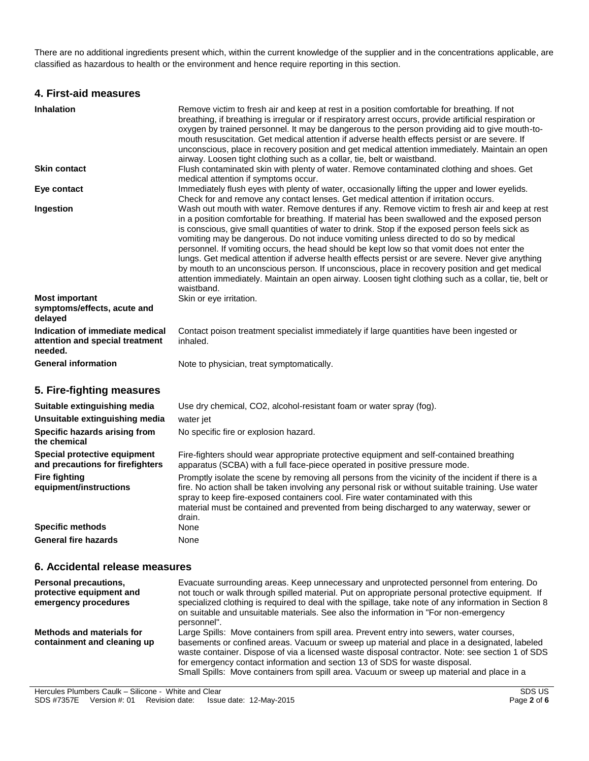There are no additional ingredients present which, within the current knowledge of the supplier and in the concentrations applicable, are classified as hazardous to health or the environment and hence require reporting in this section.

### **4. First-aid measures**

| <b>Inhalation</b>                                                             | Remove victim to fresh air and keep at rest in a position comfortable for breathing. If not<br>breathing, if breathing is irregular or if respiratory arrest occurs, provide artificial respiration or<br>oxygen by trained personnel. It may be dangerous to the person providing aid to give mouth-to-<br>mouth resuscitation. Get medical attention if adverse health effects persist or are severe. If<br>unconscious, place in recovery position and get medical attention immediately. Maintain an open<br>airway. Loosen tight clothing such as a collar, tie, belt or waistband.                                                                                                                                                                                                                                |
|-------------------------------------------------------------------------------|-------------------------------------------------------------------------------------------------------------------------------------------------------------------------------------------------------------------------------------------------------------------------------------------------------------------------------------------------------------------------------------------------------------------------------------------------------------------------------------------------------------------------------------------------------------------------------------------------------------------------------------------------------------------------------------------------------------------------------------------------------------------------------------------------------------------------|
| <b>Skin contact</b>                                                           | Flush contaminated skin with plenty of water. Remove contaminated clothing and shoes. Get<br>medical attention if symptoms occur.                                                                                                                                                                                                                                                                                                                                                                                                                                                                                                                                                                                                                                                                                       |
| Eye contact                                                                   | Immediately flush eyes with plenty of water, occasionally lifting the upper and lower eyelids.<br>Check for and remove any contact lenses. Get medical attention if irritation occurs.                                                                                                                                                                                                                                                                                                                                                                                                                                                                                                                                                                                                                                  |
| Ingestion                                                                     | Wash out mouth with water. Remove dentures if any. Remove victim to fresh air and keep at rest<br>in a position comfortable for breathing. If material has been swallowed and the exposed person<br>is conscious, give small quantities of water to drink. Stop if the exposed person feels sick as<br>vomiting may be dangerous. Do not induce vomiting unless directed to do so by medical<br>personnel. If vomiting occurs, the head should be kept low so that vomit does not enter the<br>lungs. Get medical attention if adverse health effects persist or are severe. Never give anything<br>by mouth to an unconscious person. If unconscious, place in recovery position and get medical<br>attention immediately. Maintain an open airway. Loosen tight clothing such as a collar, tie, belt or<br>waistband. |
| <b>Most important</b><br>symptoms/effects, acute and<br>delayed               | Skin or eye irritation.                                                                                                                                                                                                                                                                                                                                                                                                                                                                                                                                                                                                                                                                                                                                                                                                 |
| Indication of immediate medical<br>attention and special treatment<br>needed. | Contact poison treatment specialist immediately if large quantities have been ingested or<br>inhaled.                                                                                                                                                                                                                                                                                                                                                                                                                                                                                                                                                                                                                                                                                                                   |
| <b>General information</b>                                                    | Note to physician, treat symptomatically.                                                                                                                                                                                                                                                                                                                                                                                                                                                                                                                                                                                                                                                                                                                                                                               |
| 5. Fire-fighting measures                                                     |                                                                                                                                                                                                                                                                                                                                                                                                                                                                                                                                                                                                                                                                                                                                                                                                                         |
| Suitable extinguishing media                                                  | Use dry chemical, CO2, alcohol-resistant foam or water spray (fog).                                                                                                                                                                                                                                                                                                                                                                                                                                                                                                                                                                                                                                                                                                                                                     |
| Unsuitable extinguishing media                                                | water jet                                                                                                                                                                                                                                                                                                                                                                                                                                                                                                                                                                                                                                                                                                                                                                                                               |
| Specific hazards arising from<br>the chemical                                 | No specific fire or explosion hazard.                                                                                                                                                                                                                                                                                                                                                                                                                                                                                                                                                                                                                                                                                                                                                                                   |
| Special protective equipment                                                  | Fire-fighters should wear appropriate protective equipment and self-contained breathing                                                                                                                                                                                                                                                                                                                                                                                                                                                                                                                                                                                                                                                                                                                                 |

**and precautions for firefighters** apparatus (SCBA) with a full face-piece operated in positive pressure mode.

**equipment/instructions** Promptly isolate the scene by removing all persons from the vicinity of the incident if there is a fire. No action shall be taken involving any personal risk or without suitable training. Use water spray to keep fire-exposed containers cool. Fire water contaminated with this material must be contained and prevented from being discharged to any waterway, sewer or drain. **Specific methods** None **General fire hazards** None

### **6. Accidental release measures**

**Fire fighting** 

| <b>Personal precautions,</b><br>protective equipment and<br>emergency procedures | Evacuate surrounding areas. Keep unnecessary and unprotected personnel from entering. Do<br>not touch or walk through spilled material. Put on appropriate personal protective equipment. If<br>specialized clothing is required to deal with the spillage, take note of any information in Section 8<br>on suitable and unsuitable materials. See also the information in "For non-emergency"<br>personnel".                                                           |
|----------------------------------------------------------------------------------|-------------------------------------------------------------------------------------------------------------------------------------------------------------------------------------------------------------------------------------------------------------------------------------------------------------------------------------------------------------------------------------------------------------------------------------------------------------------------|
| Methods and materials for<br>containment and cleaning up                         | Large Spills: Move containers from spill area. Prevent entry into sewers, water courses,<br>basements or confined areas. Vacuum or sweep up material and place in a designated, labeled<br>waste container. Dispose of via a licensed waste disposal contractor. Note: see section 1 of SDS<br>for emergency contact information and section 13 of SDS for waste disposal.<br>Small Spills: Move containers from spill area. Vacuum or sweep up material and place in a |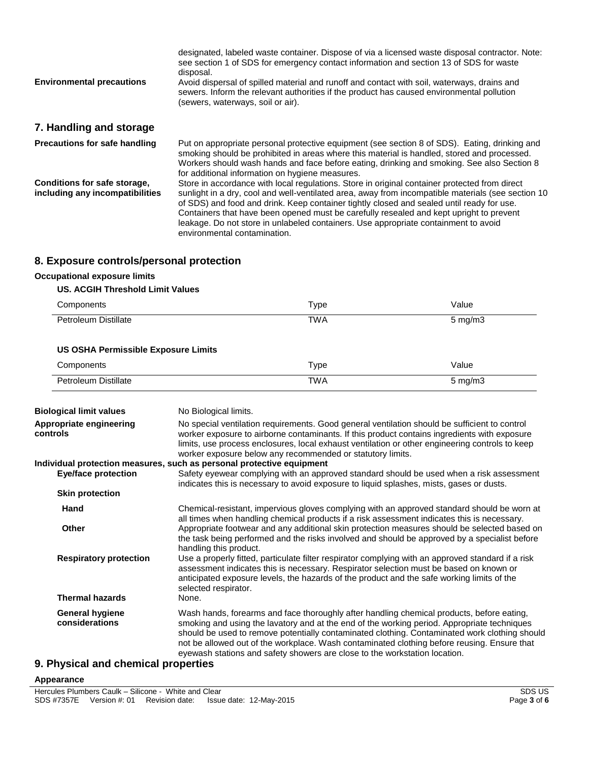| <b>Environmental precautions</b>                                | designated, labeled waste container. Dispose of via a licensed waste disposal contractor. Note:<br>see section 1 of SDS for emergency contact information and section 13 of SDS for waste<br>disposal.<br>Avoid dispersal of spilled material and runoff and contact with soil, waterways, drains and<br>sewers. Inform the relevant authorities if the product has caused environmental pollution<br>(sewers, waterways, soil or air).                                                                            |
|-----------------------------------------------------------------|--------------------------------------------------------------------------------------------------------------------------------------------------------------------------------------------------------------------------------------------------------------------------------------------------------------------------------------------------------------------------------------------------------------------------------------------------------------------------------------------------------------------|
| 7. Handling and storage                                         |                                                                                                                                                                                                                                                                                                                                                                                                                                                                                                                    |
| <b>Precautions for safe handling</b>                            | Put on appropriate personal protective equipment (see section 8 of SDS). Eating, drinking and<br>smoking should be prohibited in areas where this material is handled, stored and processed.<br>Workers should wash hands and face before eating, drinking and smoking. See also Section 8<br>for additional information on hygiene measures.                                                                                                                                                                      |
| Conditions for safe storage,<br>including any incompatibilities | Store in accordance with local regulations. Store in original container protected from direct<br>sunlight in a dry, cool and well-ventilated area, away from incompatible materials (see section 10<br>of SDS) and food and drink. Keep container tightly closed and sealed until ready for use.<br>Containers that have been opened must be carefully resealed and kept upright to prevent<br>leakage. Do not store in unlabeled containers. Use appropriate containment to avoid<br>environmental contamination. |

# **8. Exposure controls/personal protection**

#### **Occupational exposure limits**

#### **US. ACGIH Threshold Limit Values**

| Components                                 | Type       | Value              |
|--------------------------------------------|------------|--------------------|
| Petroleum Distillate                       | <b>TWA</b> | $5 \text{ mg/m}$ 3 |
| <b>US OSHA Permissible Exposure Limits</b> |            |                    |
| Components                                 | Type       | Value              |
| Petroleum Distillate                       | <b>TWA</b> | $5 \text{ mg/m}$ 3 |

| <b>Biological limit values</b>                                       | No Biological limits.                                                                                                                                                                                                                                                                                                                                                                                                                                                  |  |  |
|----------------------------------------------------------------------|------------------------------------------------------------------------------------------------------------------------------------------------------------------------------------------------------------------------------------------------------------------------------------------------------------------------------------------------------------------------------------------------------------------------------------------------------------------------|--|--|
| Appropriate engineering<br>controls                                  | No special ventilation requirements. Good general ventilation should be sufficient to control<br>worker exposure to airborne contaminants. If this product contains ingredients with exposure<br>limits, use process enclosures, local exhaust ventilation or other engineering controls to keep<br>worker exposure below any recommended or statutory limits.                                                                                                         |  |  |
|                                                                      | Individual protection measures, such as personal protective equipment                                                                                                                                                                                                                                                                                                                                                                                                  |  |  |
| <b>Eye/face protection</b>                                           | Safety eyewear complying with an approved standard should be used when a risk assessment<br>indicates this is necessary to avoid exposure to liquid splashes, mists, gases or dusts.                                                                                                                                                                                                                                                                                   |  |  |
| <b>Skin protection</b>                                               |                                                                                                                                                                                                                                                                                                                                                                                                                                                                        |  |  |
| Hand                                                                 | Chemical-resistant, impervious gloves complying with an approved standard should be worn at<br>all times when handling chemical products if a risk assessment indicates this is necessary.                                                                                                                                                                                                                                                                             |  |  |
| Other                                                                | Appropriate footwear and any additional skin protection measures should be selected based on<br>the task being performed and the risks involved and should be approved by a specialist before<br>handling this product.                                                                                                                                                                                                                                                |  |  |
| <b>Respiratory protection</b>                                        | Use a properly fitted, particulate filter respirator complying with an approved standard if a risk<br>assessment indicates this is necessary. Respirator selection must be based on known or<br>anticipated exposure levels, the hazards of the product and the safe working limits of the<br>selected respirator.                                                                                                                                                     |  |  |
| <b>Thermal hazards</b>                                               | None.                                                                                                                                                                                                                                                                                                                                                                                                                                                                  |  |  |
| General hygiene<br>considerations                                    | Wash hands, forearms and face thoroughly after handling chemical products, before eating,<br>smoking and using the lavatory and at the end of the working period. Appropriate techniques<br>should be used to remove potentially contaminated clothing. Contaminated work clothing should<br>not be allowed out of the workplace. Wash contaminated clothing before reusing. Ensure that<br>eyewash stations and safety showers are close to the workstation location. |  |  |
| <b>PRIVATE AND INTERNATIONAL PROPERTY AND INTERNATIONAL PROPERTY</b> |                                                                                                                                                                                                                                                                                                                                                                                                                                                                        |  |  |

# **9. Physical and chemical properties**

#### **Appearance**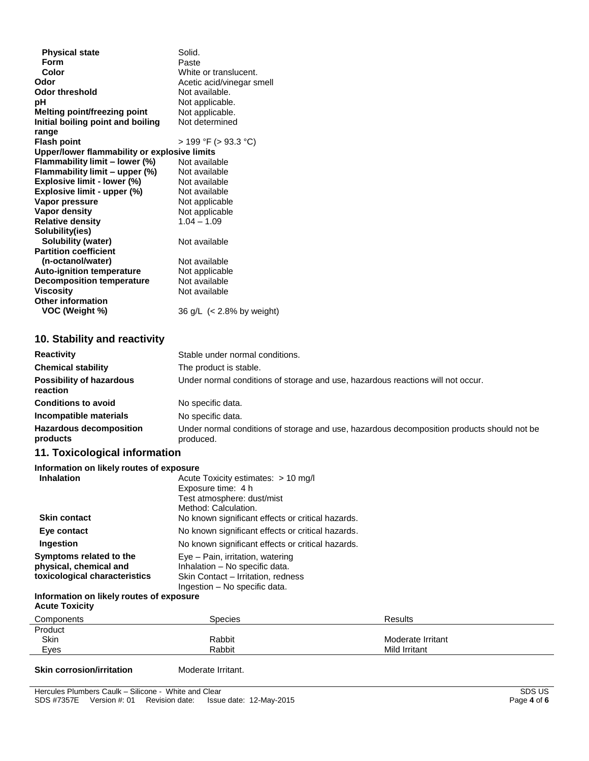| <b>Physical state</b>                        | Solid.                    |
|----------------------------------------------|---------------------------|
| Form                                         | Paste                     |
| Color                                        | White or translucent.     |
| Odor                                         | Acetic acid/vinegar smell |
| <b>Odor threshold</b>                        | Not available.            |
| pН                                           | Not applicable.           |
| Melting point/freezing point                 | Not applicable.           |
| Initial boiling point and boiling            | Not determined            |
| range                                        |                           |
| <b>Flash point</b>                           | $>$ 199 °F ( $>$ 93.3 °C) |
| Upper/lower flammability or explosive limits |                           |
| Flammability limit - lower (%)               | Not available             |
| Flammability limit - upper (%)               | Not available             |
| Explosive limit - lower (%)                  | Not available             |
| Explosive limit - upper (%)                  | Not available             |
| Vapor pressure                               | Not applicable            |
| <b>Vapor density</b>                         | Not applicable            |
| <b>Relative density</b>                      | $1.04 - 1.09$             |
| Solubility(ies)                              |                           |
| Solubility (water)                           | Not available             |
| <b>Partition coefficient</b>                 |                           |
| (n-octanol/water)                            | Not available             |
| <b>Auto-ignition temperature</b>             | Not applicable            |
| <b>Decomposition temperature</b>             | Not available             |
| <b>Viscosity</b>                             | Not available             |
| <b>Other information</b>                     |                           |
| VOC (Weight %)                               | 36 g/L (< 2.8% by weight) |
|                                              |                           |

### **10. Stability and reactivity**

| <b>Reactivity</b>                           | Stable under normal conditions.                                                                         |
|---------------------------------------------|---------------------------------------------------------------------------------------------------------|
| <b>Chemical stability</b>                   | The product is stable.                                                                                  |
| <b>Possibility of hazardous</b><br>reaction | Under normal conditions of storage and use, hazardous reactions will not occur.                         |
| <b>Conditions to avoid</b>                  | No specific data.                                                                                       |
| Incompatible materials                      | No specific data.                                                                                       |
| <b>Hazardous decomposition</b><br>products  | Under normal conditions of storage and use, hazardous decomposition products should not be<br>produced. |

# **11. Toxicological information**

| Information on likely routes of exposure |                                                   |
|------------------------------------------|---------------------------------------------------|
| <b>Inhalation</b>                        | Acute Toxicity estimates: $> 10$ mg/l             |
|                                          | Exposure time: 4 h                                |
|                                          | Test atmosphere: dust/mist                        |
|                                          | Method: Calculation.                              |
| <b>Skin contact</b>                      | No known significant effects or critical hazards. |
| Eye contact                              | No known significant effects or critical hazards. |
| Ingestion                                | No known significant effects or critical hazards. |
| Symptoms related to the                  | Eye - Pain, irritation, watering                  |
| physical, chemical and                   | Inhalation - No specific data.                    |
| toxicological characteristics            | Skin Contact - Irritation, redness                |
|                                          | Ingestion - No specific data.                     |
| Information on likely routes of exposure |                                                   |
| <b>Acute Toxicity</b>                    |                                                   |

| Components | Species | <b>Results</b>    |
|------------|---------|-------------------|
| Product    |         |                   |
| Skin       | Rabbit  | Moderate Irritant |
| Eyes       | Rabbit  | Mild Irritant     |
|            |         |                   |

#### **Skin corrosion/irritation** Moderate Irritant.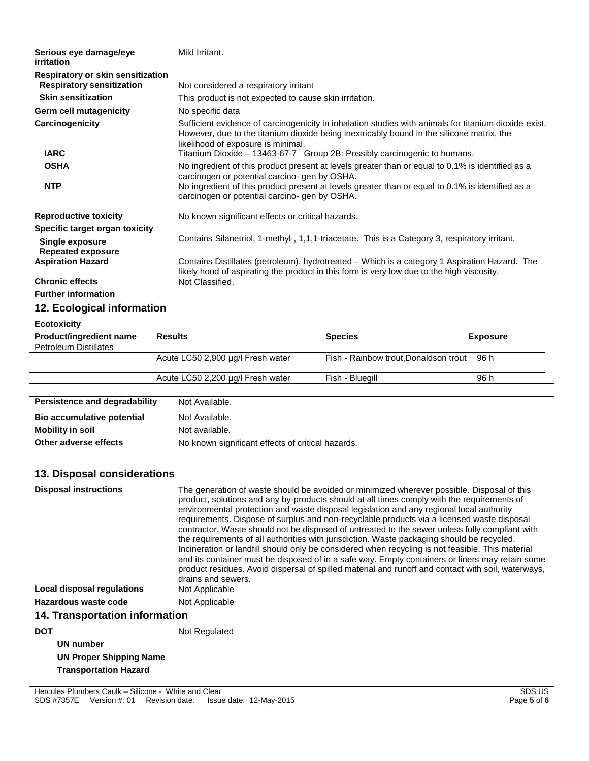| Serious eye damage/eye<br><i>irritation</i> | Mild Irritant.                                    |                                                                                                                                                                                                                                                                                                                                                                                                                                                                                                                                                                                    |                 |  |
|---------------------------------------------|---------------------------------------------------|------------------------------------------------------------------------------------------------------------------------------------------------------------------------------------------------------------------------------------------------------------------------------------------------------------------------------------------------------------------------------------------------------------------------------------------------------------------------------------------------------------------------------------------------------------------------------------|-----------------|--|
| Respiratory or skin sensitization           |                                                   |                                                                                                                                                                                                                                                                                                                                                                                                                                                                                                                                                                                    |                 |  |
| <b>Respiratory sensitization</b>            |                                                   | Not considered a respiratory irritant                                                                                                                                                                                                                                                                                                                                                                                                                                                                                                                                              |                 |  |
| <b>Skin sensitization</b>                   |                                                   | This product is not expected to cause skin irritation.                                                                                                                                                                                                                                                                                                                                                                                                                                                                                                                             |                 |  |
| Germ cell mutagenicity                      | No specific data                                  |                                                                                                                                                                                                                                                                                                                                                                                                                                                                                                                                                                                    |                 |  |
| Carcinogenicity<br><b>IARC</b>              | likelihood of exposure is minimal.                | Sufficient evidence of carcinogenicity in inhalation studies with animals for titanium dioxide exist.<br>However, due to the titanium dioxide being inextricably bound in the silicone matrix, the<br>Titanium Dioxide - 13463-67-7 Group 2B: Possibly carcinogenic to humans.                                                                                                                                                                                                                                                                                                     |                 |  |
| <b>OSHA</b>                                 |                                                   |                                                                                                                                                                                                                                                                                                                                                                                                                                                                                                                                                                                    |                 |  |
|                                             | carcinogen or potential carcino- gen by OSHA.     | No ingredient of this product present at levels greater than or equal to 0.1% is identified as a                                                                                                                                                                                                                                                                                                                                                                                                                                                                                   |                 |  |
| <b>NTP</b>                                  | carcinogen or potential carcino- gen by OSHA.     | No ingredient of this product present at levels greater than or equal to 0.1% is identified as a                                                                                                                                                                                                                                                                                                                                                                                                                                                                                   |                 |  |
| <b>Reproductive toxicity</b>                | No known significant effects or critical hazards. |                                                                                                                                                                                                                                                                                                                                                                                                                                                                                                                                                                                    |                 |  |
| Specific target organ toxicity              |                                                   |                                                                                                                                                                                                                                                                                                                                                                                                                                                                                                                                                                                    |                 |  |
| <b>Single exposure</b>                      |                                                   | Contains Silanetriol, 1-methyl-, 1,1,1-triacetate. This is a Category 3, respiratory irritant.                                                                                                                                                                                                                                                                                                                                                                                                                                                                                     |                 |  |
| <b>Repeated exposure</b>                    |                                                   |                                                                                                                                                                                                                                                                                                                                                                                                                                                                                                                                                                                    |                 |  |
| <b>Aspiration Hazard</b>                    |                                                   | Contains Distillates (petroleum), hydrotreated - Which is a category 1 Aspiration Hazard. The                                                                                                                                                                                                                                                                                                                                                                                                                                                                                      |                 |  |
| <b>Chronic effects</b>                      | Not Classified.                                   | likely hood of aspirating the product in this form is very low due to the high viscosity.                                                                                                                                                                                                                                                                                                                                                                                                                                                                                          |                 |  |
| <b>Further information</b>                  |                                                   |                                                                                                                                                                                                                                                                                                                                                                                                                                                                                                                                                                                    |                 |  |
|                                             |                                                   |                                                                                                                                                                                                                                                                                                                                                                                                                                                                                                                                                                                    |                 |  |
| 12. Ecological information                  |                                                   |                                                                                                                                                                                                                                                                                                                                                                                                                                                                                                                                                                                    |                 |  |
| <b>Ecotoxicity</b>                          |                                                   |                                                                                                                                                                                                                                                                                                                                                                                                                                                                                                                                                                                    |                 |  |
| Product/ingredient name                     | <b>Results</b>                                    | <b>Species</b>                                                                                                                                                                                                                                                                                                                                                                                                                                                                                                                                                                     | <b>Exposure</b> |  |
| <b>Petroleum Distillates</b>                | Acute LC50 2,900 µg/l Fresh water                 | Fish - Rainbow trout, Donaldson trout                                                                                                                                                                                                                                                                                                                                                                                                                                                                                                                                              | 96 h            |  |
|                                             |                                                   |                                                                                                                                                                                                                                                                                                                                                                                                                                                                                                                                                                                    |                 |  |
|                                             | Acute LC50 2,200 µg/l Fresh water                 | Fish - Bluegill                                                                                                                                                                                                                                                                                                                                                                                                                                                                                                                                                                    | 96 h            |  |
|                                             |                                                   |                                                                                                                                                                                                                                                                                                                                                                                                                                                                                                                                                                                    |                 |  |
| Persistence and degradability               | Not Available.                                    |                                                                                                                                                                                                                                                                                                                                                                                                                                                                                                                                                                                    |                 |  |
| Bio accumulative potential                  | Not Available.                                    |                                                                                                                                                                                                                                                                                                                                                                                                                                                                                                                                                                                    |                 |  |
| <b>Mobility in soil</b>                     | Not available.                                    |                                                                                                                                                                                                                                                                                                                                                                                                                                                                                                                                                                                    |                 |  |
| Other adverse effects                       | No known significant effects of critical hazards. |                                                                                                                                                                                                                                                                                                                                                                                                                                                                                                                                                                                    |                 |  |
|                                             |                                                   |                                                                                                                                                                                                                                                                                                                                                                                                                                                                                                                                                                                    |                 |  |
| 13. Disposal considerations                 |                                                   |                                                                                                                                                                                                                                                                                                                                                                                                                                                                                                                                                                                    |                 |  |
| <b>Disposal instructions</b>                |                                                   | The generation of waste should be avoided or minimized wherever possible. Disposal of this<br>product, solutions and any by-products should at all times comply with the requirements of<br>environmental protection and waste disposal legislation and any regional local authority<br>requirements. Dispose of surplus and non-recyclable products via a licensed waste disposal<br>contractor. Waste should not be disposed of untreated to the sewer unless fully compliant with<br>the requirements of all authorities with jurisdiction. Waste packaging should be recycled. |                 |  |

Incineration or landfill should only be considered when recycling is not feasible. This material and its container must be disposed of in a safe way. Empty containers or liners may retain some product residues. Avoid dispersal of spilled material and runoff and contact with soil, waterways,

Hercules Plumbers Caulk – Silicone - White and Clear SDS US<br>
SDS #7357E Version #: 01 Revision date: Issue date: 12-May-2015<br>
Page 5 of 6 SDS #7357E Version #: 01 Revision date: Issue date: 12-May-2015

Hazardous waste code Not Applicable

**DOT** Not Regulated

**14. Transportation information**

**UN Proper Shipping Name Transportation Hazard** 

**Local disposal regulations** 

**UN number**

drains and sewers.<br>Not Applicable